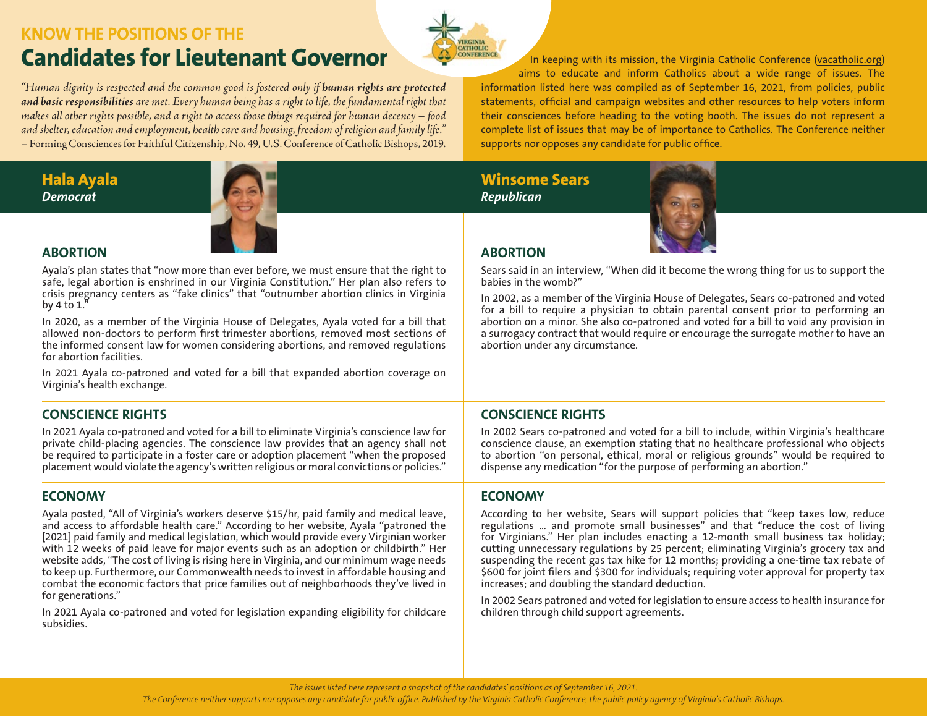# **KNOW THE POSITIONS OF THE Candidates for Lieutenant Governor**

*"Human dignity is respected and the common good is fostered only if human rights are protected and basic responsibilities are met. Every human being has a right to life, the fundamental right that makes all other rights possible, and a right to access those things required for human decency – food and shelter, education and employment, health care and housing, freedom of religion and family life."*  – Forming Consciences for Faithful Citizenship, No. 49, U.S. Conference of Catholic Bishops, 2019.

**Hala Ayala** *Democrat*



**ABORTION** Ayala's plan states that "now more than ever before, we must ensure that the right to safe, legal abortion is enshrined in our Virginia Constitution." Her plan also refers to crisis pregnancy centers as "fake clinics" that "outnumber abortion clinics in Virginia by 4 to  $1.'$ 

In 2020, as a member of the Virginia House of Delegates, Ayala voted for a bill that allowed non-doctors to perform first trimester abortions, removed most sections of the informed consent law for women considering abortions, and removed regulations for abortion facilities.

In 2021 Ayala co-patroned and voted for a bill that expanded abortion coverage on Virginia's health exchange.

# **CONSCIENCE RIGHTS**

In 2021 Ayala co-patroned and voted for a bill to eliminate Virginia's conscience law for private child-placing agencies. The conscience law provides that an agency shall not be required to participate in a foster care or adoption placement "when the proposed placement would violate the agency's written religious or moral convictions or policies."

#### **ECONOMY**

Ayala posted, "All of Virginia's workers deserve \$15/hr, paid family and medical leave, and access to affordable health care." According to her website, Ayala "patroned the [2021] paid family and medical legislation, which would provide every Virginian worker with 12 weeks of paid leave for major events such as an adoption or childbirth." Her website adds, "The cost of living is rising here in Virginia, and our minimum wage needs to keep up. Furthermore, our Commonwealth needs to invest in affordable housing and combat the economic factors that price families out of neighborhoods they've lived in for generations."

In 2021 Ayala co-patroned and voted for legislation expanding eligibility for childcare subsidies.

**CATHOLIC**<br>CONFERENCE In keeping with its mission, the Virginia Catholic Conference [\(vacatholic.org](http://www.vacatholic.org)) aims to educate and inform Catholics about a wide range of issues. The information listed here was compiled as of September 16, 2021, from policies, public statements, official and campaign websites and other resources to help voters inform their consciences before heading to the voting booth. The issues do not represent a complete list of issues that may be of importance to Catholics. The Conference neither supports nor opposes any candidate for public office.

**Winsome Sears** *Republican*

*<u>RCINIA</u>* 



# **ABORTION**

Sears said in an interview, "When did it become the wrong thing for us to support the babies in the womb?"

In 2002, as a member of the Virginia House of Delegates, Sears co-patroned and voted for a bill to require a physician to obtain parental consent prior to performing an abortion on a minor. She also co-patroned and voted for a bill to void any provision in a surrogacy contract that would require or encourage the surrogate mother to have an abortion under any circumstance.

# **CONSCIENCE RIGHTS**

In 2002 Sears co-patroned and voted for a bill to include, within Virginia's healthcare conscience clause, an exemption stating that no healthcare professional who objects to abortion "on personal, ethical, moral or religious grounds" would be required to dispense any medication "for the purpose of performing an abortion."

## **ECONOMY**

According to her website, Sears will support policies that "keep taxes low, reduce regulations … and promote small businesses" and that "reduce the cost of living for Virginians." Her plan includes enacting a 12-month small business tax holiday; cutting unnecessary regulations by 25 percent; eliminating Virginia's grocery tax and suspending the recent gas tax hike for 12 months; providing a one-time tax rebate of \$600 for joint filers and \$300 for individuals; requiring voter approval for property tax increases; and doubling the standard deduction.

In 2002 Sears patroned and voted for legislation to ensure access to health insurance for children through child support agreements.

*The issues listed here represent a snapshot of the candidates' positions as of September 16, 2021.*

*The Conference neither supports nor opposes any candidate for public office. Published by the Virginia Catholic Conference, the public policy agency of Virginia's Catholic Bishops.*